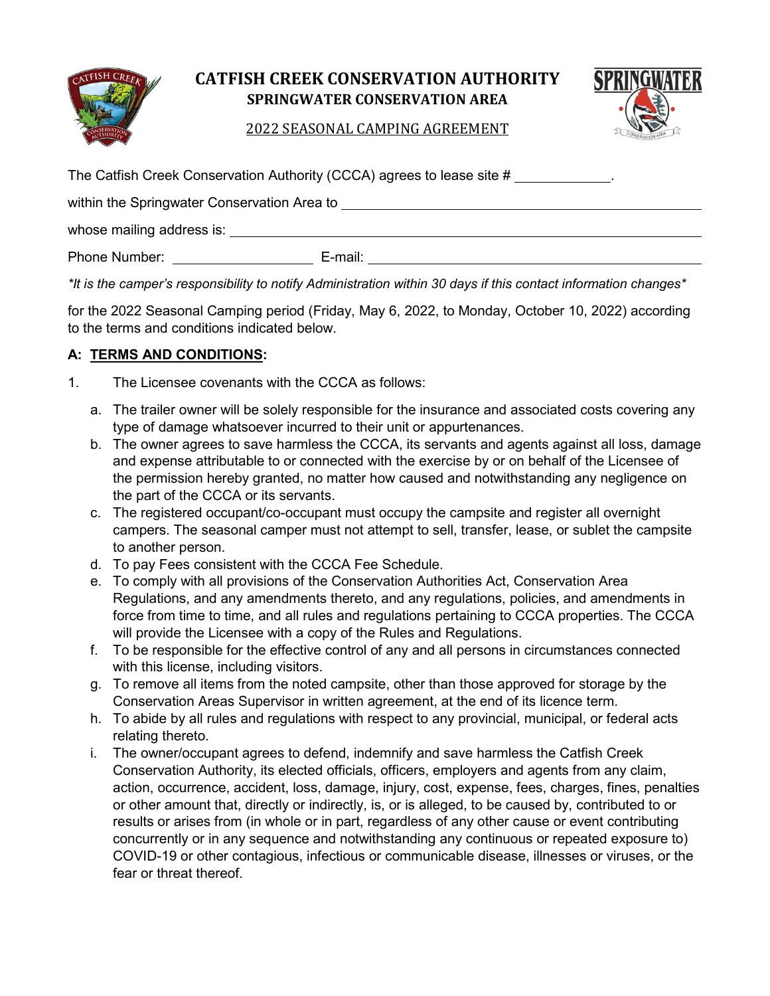

# **CATFISH CREEK CONSERVATION AUTHORITY SPRINGWATER CONSERVATION AREA**



2022 SEASONAL CAMPING AGREEMENT

| The Catfish Creek Conservation Authority (CCCA) agrees to lease site # ____________. |  |  |  |
|--------------------------------------------------------------------------------------|--|--|--|
|                                                                                      |  |  |  |
|                                                                                      |  |  |  |
| Phone Number: National Phone Number                                                  |  |  |  |

*\*It is the camper's responsibility to notify Administration within 30 days if this contact information changes\** 

for the 2022 Seasonal Camping period (Friday, May 6, 2022, to Monday, October 10, 2022) according to the terms and conditions indicated below.

## **A: TERMS AND CONDITIONS:**

- 1. The Licensee covenants with the CCCA as follows:
	- a. The trailer owner will be solely responsible for the insurance and associated costs covering any type of damage whatsoever incurred to their unit or appurtenances.
	- b. The owner agrees to save harmless the CCCA, its servants and agents against all loss, damage and expense attributable to or connected with the exercise by or on behalf of the Licensee of the permission hereby granted, no matter how caused and notwithstanding any negligence on the part of the CCCA or its servants.
	- c. The registered occupant/co-occupant must occupy the campsite and register all overnight campers. The seasonal camper must not attempt to sell, transfer, lease, or sublet the campsite to another person.
	- d. To pay Fees consistent with the CCCA Fee Schedule.
	- e. To comply with all provisions of the Conservation Authorities Act, Conservation Area Regulations, and any amendments thereto, and any regulations, policies, and amendments in force from time to time, and all rules and regulations pertaining to CCCA properties. The CCCA will provide the Licensee with a copy of the Rules and Regulations.
	- f. To be responsible for the effective control of any and all persons in circumstances connected with this license, including visitors.
	- g. To remove all items from the noted campsite, other than those approved for storage by the Conservation Areas Supervisor in written agreement, at the end of its licence term.
	- h. To abide by all rules and regulations with respect to any provincial, municipal, or federal acts relating thereto.
	- i. The owner/occupant agrees to defend, indemnify and save harmless the Catfish Creek Conservation Authority, its elected officials, officers, employers and agents from any claim, action, occurrence, accident, loss, damage, injury, cost, expense, fees, charges, fines, penalties or other amount that, directly or indirectly, is, or is alleged, to be caused by, contributed to or results or arises from (in whole or in part, regardless of any other cause or event contributing concurrently or in any sequence and notwithstanding any continuous or repeated exposure to) COVID-19 or other contagious, infectious or communicable disease, illnesses or viruses, or the fear or threat thereof.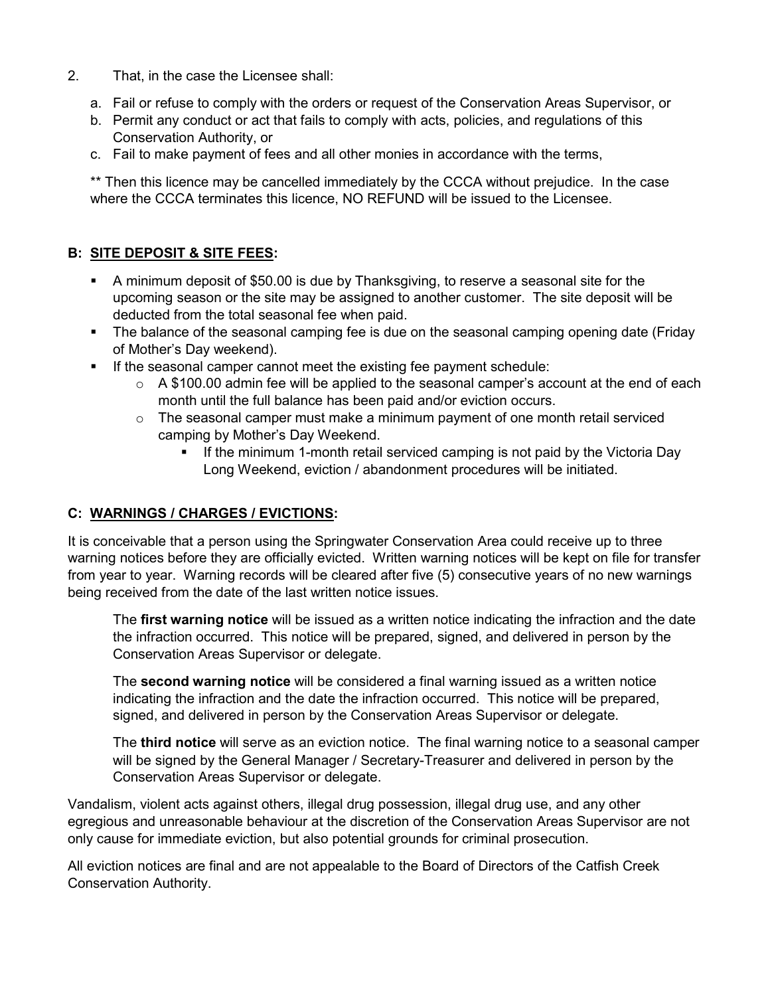- 2. That, in the case the Licensee shall:
	- a. Fail or refuse to comply with the orders or request of the Conservation Areas Supervisor, or
	- b. Permit any conduct or act that fails to comply with acts, policies, and regulations of this Conservation Authority, or
	- c. Fail to make payment of fees and all other monies in accordance with the terms,

\*\* Then this licence may be cancelled immediately by the CCCA without prejudice. In the case where the CCCA terminates this licence, NO REFUND will be issued to the Licensee.

# **B: SITE DEPOSIT & SITE FEES:**

- A minimum deposit of \$50.00 is due by Thanksgiving, to reserve a seasonal site for the upcoming season or the site may be assigned to another customer. The site deposit will be deducted from the total seasonal fee when paid.
- The balance of the seasonal camping fee is due on the seasonal camping opening date (Friday of Mother's Day weekend).
- If the seasonal camper cannot meet the existing fee payment schedule:
	- $\circ$  A \$100.00 admin fee will be applied to the seasonal camper's account at the end of each month until the full balance has been paid and/or eviction occurs.
	- $\circ$  The seasonal camper must make a minimum payment of one month retail serviced camping by Mother's Day Weekend.
		- If the minimum 1-month retail serviced camping is not paid by the Victoria Day Long Weekend, eviction / abandonment procedures will be initiated.

## **C: WARNINGS / CHARGES / EVICTIONS:**

It is conceivable that a person using the Springwater Conservation Area could receive up to three warning notices before they are officially evicted. Written warning notices will be kept on file for transfer from year to year. Warning records will be cleared after five (5) consecutive years of no new warnings being received from the date of the last written notice issues.

The **first warning notice** will be issued as a written notice indicating the infraction and the date the infraction occurred. This notice will be prepared, signed, and delivered in person by the Conservation Areas Supervisor or delegate.

The **second warning notice** will be considered a final warning issued as a written notice indicating the infraction and the date the infraction occurred. This notice will be prepared, signed, and delivered in person by the Conservation Areas Supervisor or delegate.

The **third notice** will serve as an eviction notice. The final warning notice to a seasonal camper will be signed by the General Manager / Secretary-Treasurer and delivered in person by the Conservation Areas Supervisor or delegate.

Vandalism, violent acts against others, illegal drug possession, illegal drug use, and any other egregious and unreasonable behaviour at the discretion of the Conservation Areas Supervisor are not only cause for immediate eviction, but also potential grounds for criminal prosecution.

All eviction notices are final and are not appealable to the Board of Directors of the Catfish Creek Conservation Authority.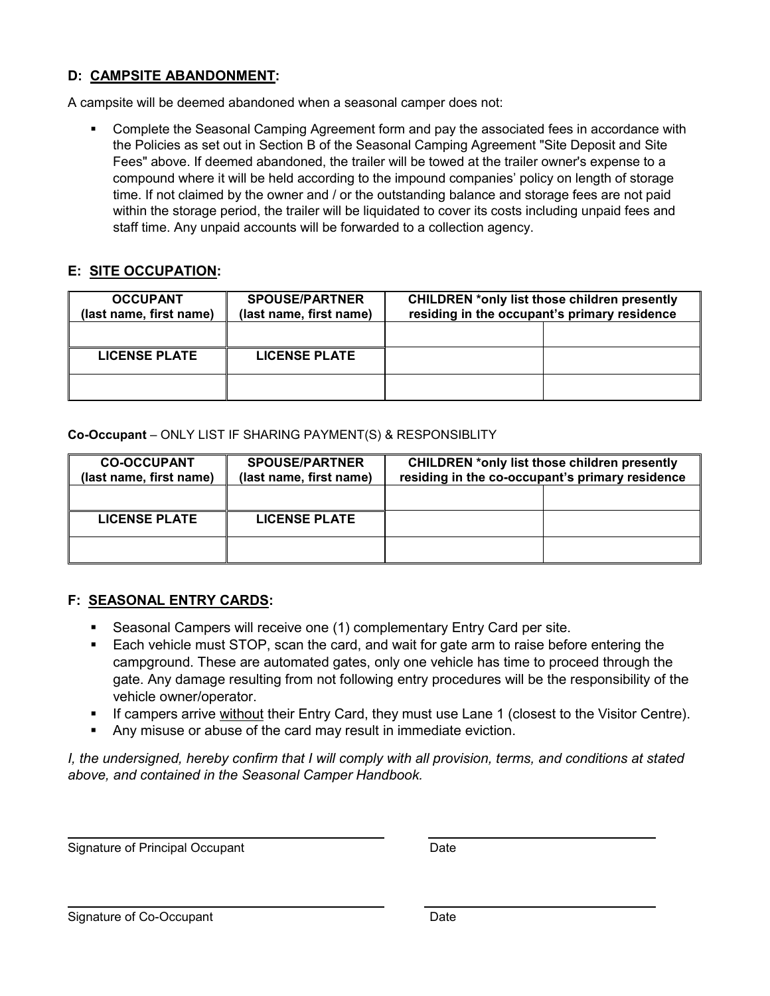## **D: CAMPSITE ABANDONMENT:**

A campsite will be deemed abandoned when a seasonal camper does not:

 Complete the Seasonal Camping Agreement form and pay the associated fees in accordance with the Policies as set out in Section B of the Seasonal Camping Agreement "Site Deposit and Site Fees" above. If deemed abandoned, the trailer will be towed at the trailer owner's expense to a compound where it will be held according to the impound companies' policy on length of storage time. If not claimed by the owner and / or the outstanding balance and storage fees are not paid within the storage period, the trailer will be liquidated to cover its costs including unpaid fees and staff time. Any unpaid accounts will be forwarded to a collection agency.

#### **E: SITE OCCUPATION:**

| <b>OCCUPANT</b><br>(last name, first name) | <b>SPOUSE/PARTNER</b><br>(last name, first name) | <b>CHILDREN *only list those children presently</b><br>residing in the occupant's primary residence |  |
|--------------------------------------------|--------------------------------------------------|-----------------------------------------------------------------------------------------------------|--|
|                                            |                                                  |                                                                                                     |  |
| <b>LICENSE PLATE</b>                       | <b>LICENSE PLATE</b>                             |                                                                                                     |  |
|                                            |                                                  |                                                                                                     |  |

#### **Co-Occupant** – ONLY LIST IF SHARING PAYMENT(S) & RESPONSIBLITY

| <b>CO-OCCUPANT</b><br>(last name, first name) | <b>SPOUSE/PARTNER</b><br>(last name, first name) | <b>CHILDREN *only list those children presently</b><br>residing in the co-occupant's primary residence |  |
|-----------------------------------------------|--------------------------------------------------|--------------------------------------------------------------------------------------------------------|--|
|                                               |                                                  |                                                                                                        |  |
| <b>LICENSE PLATE</b>                          | <b>LICENSE PLATE</b>                             |                                                                                                        |  |
|                                               |                                                  |                                                                                                        |  |

#### **F: SEASONAL ENTRY CARDS:**

- Seasonal Campers will receive one (1) complementary Entry Card per site.
- Each vehicle must STOP, scan the card, and wait for gate arm to raise before entering the campground. These are automated gates, only one vehicle has time to proceed through the gate. Any damage resulting from not following entry procedures will be the responsibility of the vehicle owner/operator.
- If campers arrive without their Entry Card, they must use Lane 1 (closest to the Visitor Centre).
- Any misuse or abuse of the card may result in immediate eviction.

*I, the undersigned, hereby confirm that I will comply with all provision, terms, and conditions at stated above, and contained in the Seasonal Camper Handbook.*

Signature of Principal Occupant Date Date

Signature of Co-Occupant Date Date